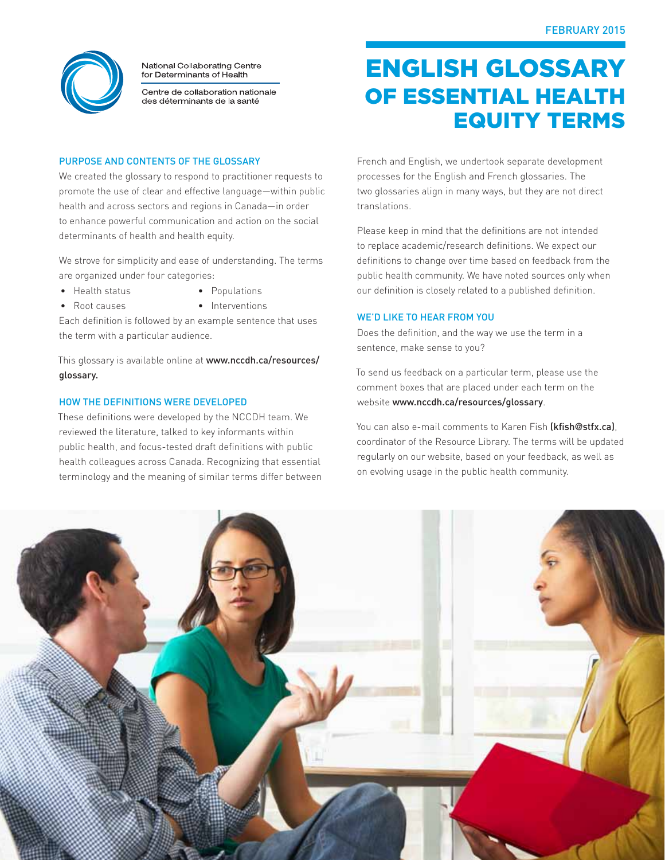

National Collaborating Centre for Determinants of Health

Centre de collaboration nationale des déterminants de la santé

### Purpose and contents of the glossary

We created the glossary to respond to practitioner requests to promote the use of clear and effective language—within public health and across sectors and regions in Canada—in order to enhance powerful communication and action on the social determinants of health and health equity.

We strove for simplicity and ease of understanding. The terms are organized under four categories:

- Health status
- Populations
- Root causes
- Interventions

Each definition is followed by an example sentence that uses the term with a particular audience.

This glossary is available online at www.nccdh.ca/resources/ glossary.

### How the definitions were developed

These definitions were developed by the NCCDH team. We reviewed the literature, talked to key informants within public health, and focus-tested draft definitions with public health colleagues across Canada. Recognizing that essential terminology and the meaning of similar terms differ between

# English glossary of essential health equity terms

French and English, we undertook separate development processes for the English and French glossaries. The two glossaries align in many ways, but they are not direct translations.

Please keep in mind that the definitions are not intended to replace academic/research definitions. We expect our definitions to change over time based on feedback from the public health community. We have noted sources only when our definition is closely related to a published definition.

#### We'd like to hear from you

Does the definition, and the way we use the term in a sentence, make sense to you?

To send us feedback on a particular term, please use the comment boxes that are placed under each term on the website www.nccdh.ca/resources/glossary.

You can also e-mail comments to Karen Fish (kfish@stfx.ca), coordinator of the Resource Library. The terms will be updated regularly on our website, based on your feedback, as well as on evolving usage in the public health community.

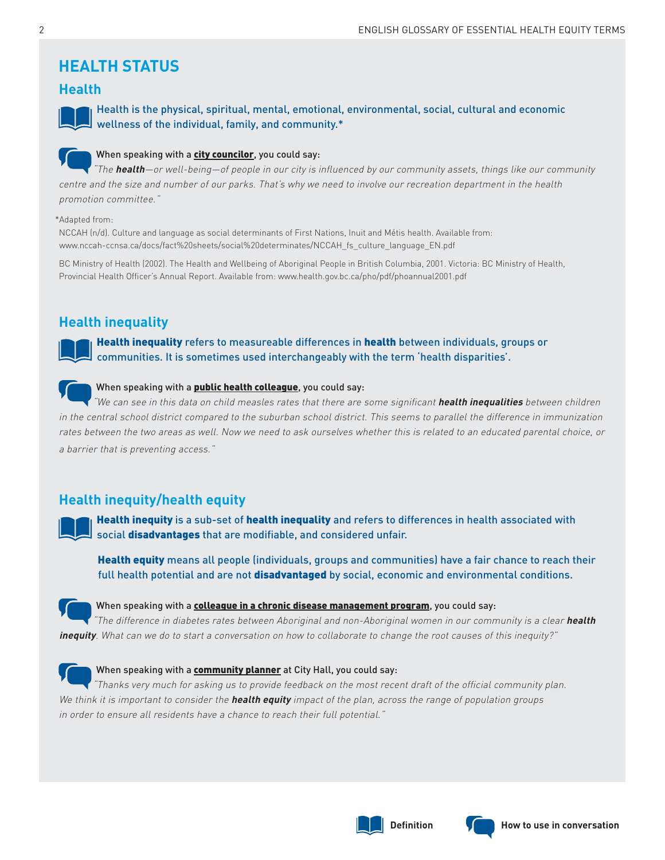## **HEALTH STATUS**

### **Health**



Health is the physical, spiritual, mental, emotional, environmental, social, cultural and economic wellness of the individual, family, and community.\*

### When speaking with a city councilor, you could say:

"The **health**—or well-being—of people in our city is influenced by our community assets, things like our community centre and the size and number of our parks. That's why we need to involve our recreation department in the health promotion committee."

#### \*Adapted from:

NCCAH (n/d). Culture and language as social determinants of First Nations, Inuit and Métis health. Available from: www.nccah-ccnsa.ca/docs/fact%20sheets/social%20determinates/NCCAH\_fs\_culture\_language\_EN.pdf

BC Ministry of Health (2002). The Health and Wellbeing of Aboriginal People in British Columbia, 2001. Victoria: BC Ministry of Health, Provincial Health Officer's Annual Report. Available from: www.health.gov.bc.ca/pho/pdf/phoannual2001.pdf

### **Health inequality**

Health inequality refers to measureable differences in health between individuals, groups or communities. It is sometimes used interchangeably with the term 'health disparities'.

### When speaking with a **public health colleague**, you could say:

"We can see in this data on child measles rates that there are some significant **health inequalities** between children in the central school district compared to the suburban school district. This seems to parallel the difference in immunization rates between the two areas as well. Now we need to ask ourselves whether this is related to an educated parental choice, or a barrier that is preventing access."

### **Health inequity/health equity**

Health inequity is a sub-set of health inequality and refers to differences in health associated with social disadvantages that are modifiable, and considered unfair.

Health equity means all people (individuals, groups and communities) have a fair chance to reach their full health potential and are not disadvantaged by social, economic and environmental conditions.



#### When speaking with a **colleague in a chronic disease management program**, you could say:

"The difference in diabetes rates between Aboriginal and non-Aboriginal women in our community is a clear **health inequity**. What can we do to start a conversation on how to collaborate to change the root causes of this inequity?"



#### When speaking with a community planner at City Hall, you could say:

"Thanks very much for asking us to provide feedback on the most recent draft of the official community plan. We think it is important to consider the **health equity** impact of the plan, across the range of population groups in order to ensure all residents have a chance to reach their full potential."



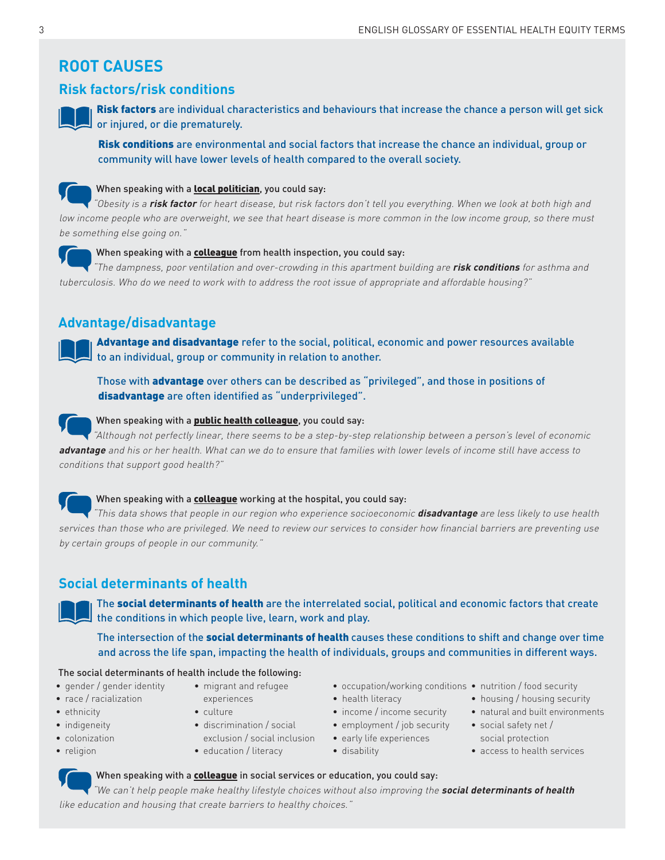# **ROOT CAUSES**

### **Risk factors/risk conditions**



Risk factors are individual characteristics and behaviours that increase the chance a person will get sick or injured, or die prematurely.

Risk conditions are environmental and social factors that increase the chance an individual, group or community will have lower levels of health compared to the overall society.



### When speaking with a **local politician**, you could say:

"Obesity is a **risk factor** for heart disease, but risk factors don't tell you everything. When we look at both high and low income people who are overweight, we see that heart disease is more common in the low income group, so there must be something else going on."



#### When speaking with a colleague from health inspection, you could say:

"The dampness, poor ventilation and over-crowding in this apartment building are **risk conditions** for asthma and tuberculosis. Who do we need to work with to address the root issue of appropriate and affordable housing?"

### **Advantage/disadvantage**

Advantage and disadvantage refer to the social, political, economic and power resources available to an individual, group or community in relation to another.

Those with **advantage** over others can be described as "privileged", and those in positions of disadvantage are often identified as "underprivileged".



### When speaking with a **public health colleague**, you could say:

"Although not perfectly linear, there seems to be a step-by-step relationship between a person's level of economic **advantage** and his or her health. What can we do to ensure that families with lower levels of income still have access to conditions that support good health?"



#### When speaking with a **colleague** working at the hospital, you could say:

"This data shows that people in our region who experience socioeconomic **disadvantage** are less likely to use health services than those who are privileged. We need to review our services to consider how financial barriers are preventing use by certain groups of people in our community."

### **Social determinants of health**

The social determinants of health are the interrelated social, political and economic factors that create the conditions in which people live, learn, work and play.

The intersection of the social determinants of health causes these conditions to shift and change over time and across the life span, impacting the health of individuals, groups and communities in different ways.

#### The social determinants of health include the following:

- gender / gender identity
- race / racialization
- ethnicity
- indigeneity
- colonization
- religion
- migrant and refugee
- experiences
- culture
- discrimination / social exclusion / social inclusion
- education / literacy
- occupation/working conditions nutrition / food security
- health literacy
- income / income security
- 
- early life experiences • disability
- 
- housing / housing security
- natural and built environments
- employment / job security social safety net / social protection
	- access to health services

When speaking with a **colleague** in social services or education, you could say:

"We can't help people make healthy lifestyle choices without also improving the **social determinants of health** like education and housing that create barriers to healthy choices."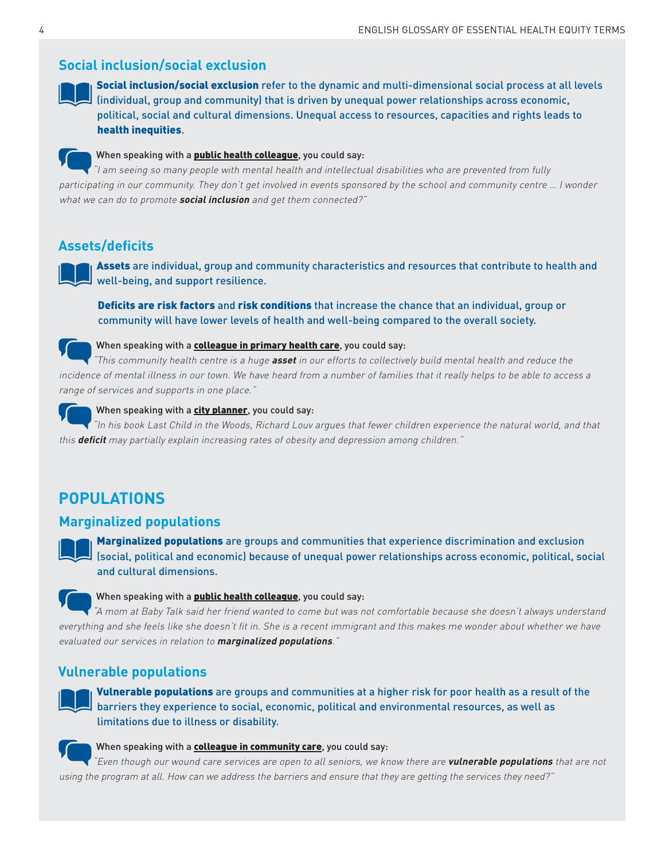### **Social inclusion/social exclusion**



Social inclusion/social exclusion refer to the dynamic and multi-dimensional social process at all levels (individual, group and community) that is driven by unequal power relationships across economic, political, social and cultural dimensions. Unequal access to resources, capacities and rights leads to health inequities.



### When speaking with a **public health colleague**, you could say:

"I am seeing so many people with mental health and intellectual disabilities who are prevented from fully participating in our community. They don't get involved in events sponsored by the school and community centre … I wonder what we can do to promote **social inclusion** and get them connected?"

### **Assets/deficits**

Assets are individual, group and community characteristics and resources that contribute to health and well-being, and support resilience.

Deficits are risk factors and risk conditions that increase the chance that an individual, group or community will have lower levels of health and well-being compared to the overall society.



#### When speaking with a **colleague in primary health care**, you could say:

"This community health centre is a huge **asset** in our efforts to collectively build mental health and reduce the incidence of mental illness in our town. We have heard from a number of families that it really helps to be able to access a range of services and supports in one place."



#### When speaking with a city planner, you could say:

"In his book Last Child in the Woods, Richard Louv argues that fewer children experience the natural world, and that this **deficit** may partially explain increasing rates of obesity and depression among children."

### **POPULATIONS**

### **Marginalized populations**



**Marginalized populations** are groups and communities that experience discrimination and exclusion (social, political and economic) because of unequal power relationships across economic, political, social and cultural dimensions.



#### When speaking with a **public health colleague**, you could say:

"A mom at Baby Talk said her friend wanted to come but was not comfortable because she doesn't always understand everything and she feels like she doesn't fit in. She is a recent immigrant and this makes me wonder about whether we have evaluated our services in relation to **marginalized populations**."

### **Vulnerable populations**

Vulnerable populations are groups and communities at a higher risk for poor health as a result of the barriers they experience to social, economic, political and environmental resources, as well as limitations due to illness or disability.



### When speaking with a **colleague in community care**, you could say:

"Even though our wound care services are open to all seniors, we know there are **vulnerable populations** that are not using the program at all. How can we address the barriers and ensure that they are getting the services they need?"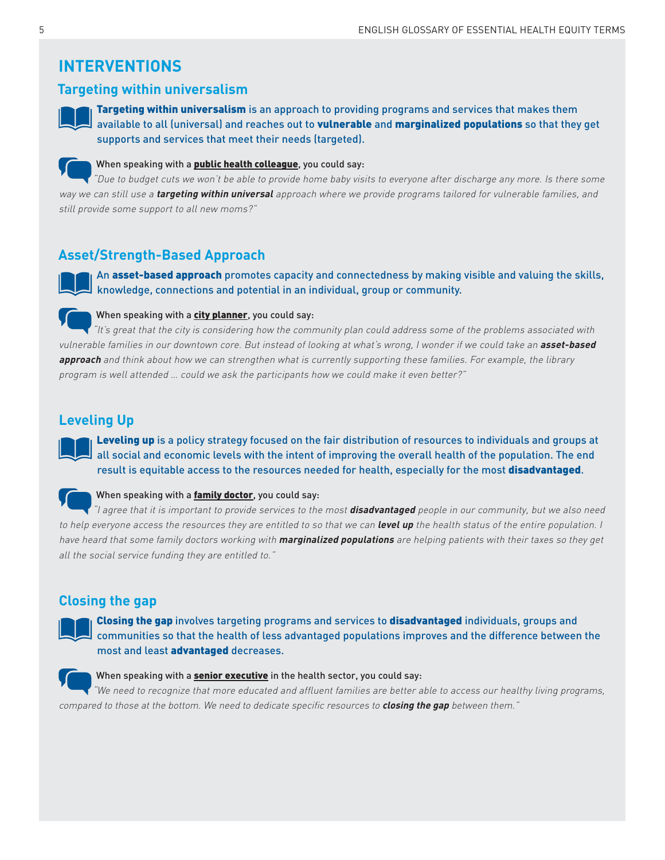# **INTERVENTIONS**

### **Targeting within universalism**



Targeting within universalism is an approach to providing programs and services that makes them available to all (universal) and reaches out to vulnerable and marginalized populations so that they get supports and services that meet their needs (targeted).



#### When speaking with a **public health colleague**, you could say:

"Due to budget cuts we won't be able to provide home baby visits to everyone after discharge any more. Is there some way we can still use a **targeting within universal** approach where we provide programs tailored for vulnerable families, and still provide some support to all new moms?"

### **Asset/Strength-Based Approach**

An asset-based approach promotes capacity and connectedness by making visible and valuing the skills, knowledge, connections and potential in an individual, group or community.

#### When speaking with a city planner, you could say:

"It's great that the city is considering how the community plan could address some of the problems associated with vulnerable families in our downtown core. But instead of looking at what's wrong, I wonder if we could take an **asset-based approach** and think about how we can strengthen what is currently supporting these families. For example, the library program is well attended … could we ask the participants how we could make it even better?"

### **Leveling Up**

Leveling up is a policy strategy focused on the fair distribution of resources to individuals and groups at all social and economic levels with the intent of improving the overall health of the population. The end result is equitable access to the resources needed for health, especially for the most disadvantaged.

### When speaking with a **family doctor**, you could say:

"I agree that it is important to provide services to the most **disadvantaged** people in our community, but we also need to help everyone access the resources they are entitled to so that we can **level up** the health status of the entire population. I have heard that some family doctors working with **marginalized populations** are helping patients with their taxes so they get all the social service funding they are entitled to."

### **Closing the gap**

Closing the gap involves targeting programs and services to disadvantaged individuals, groups and communities so that the health of less advantaged populations improves and the difference between the most and least advantaged decreases.

### When speaking with a **senior executive** in the health sector, you could say:

"We need to recognize that more educated and affluent families are better able to access our healthy living programs, compared to those at the bottom. We need to dedicate specific resources to **closing the gap** between them."